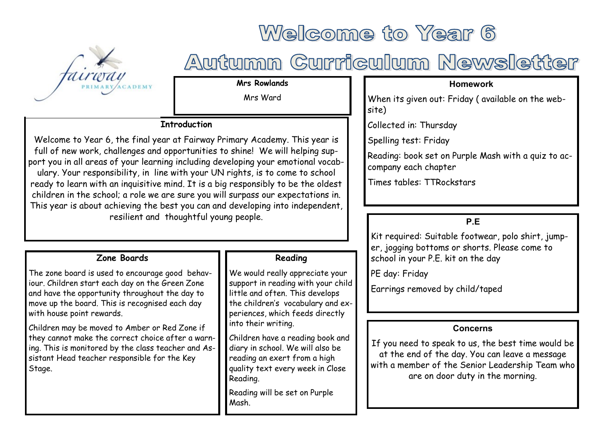

# Welcome to Year 6

# Autumn Curriculum Newsletter

**Mrs Rowlands**

Mrs Ward

# **Introduction**

Welcome to Year 6, the final year at Fairway Primary Academy. This year is full of new work, challenges and opportunities to shine! We will helping support you in all areas of your learning including developing your emotional vocabulary. Your responsibility, in line with your UN rights, is to come to school ready to learn with an inquisitive mind. It is a big responsibly to be the oldest children in the school; a role we are sure you will surpass our expectations in. This year is about achieving the best you can and developing into independent, resilient and thoughtful young people.

### **Zone Boards**

The zone board is used to encourage good behaviour. Children start each day on the Green Zone and have the opportunity throughout the day to move up the board. This is recognised each day with house point rewards.

Children may be moved to Amber or Red Zone if they cannot make the correct choice after a warning. This is monitored by the class teacher and Assistant Head teacher responsible for the Key Stage.

## **Reading**

We would really appreciate your support in reading with your child little and often. This develops the children's vocabulary and experiences, which feeds directly into their writing.

Children have a reading book and diary in school. We will also be reading an exert from a high quality text every week in Close Reading.

Reading will be set on Purple Mash.

### **Homework**

When its given out: Friday ( available on the website)

Collected in: Thursday

Spelling test: Friday

Reading: book set on Purple Mash with a quiz to accompany each chapter

Times tables: TTRockstars

# **P.E**

Kit required: Suitable footwear, polo shirt, jumper, jogging bottoms or shorts. Please come to school in your P.E. kit on the day

PE day: Friday

Earrings removed by child/taped

### **Concerns**

If you need to speak to us, the best time would be at the end of the day. You can leave a message with a member of the Senior Leadership Team who are on door duty in the morning.